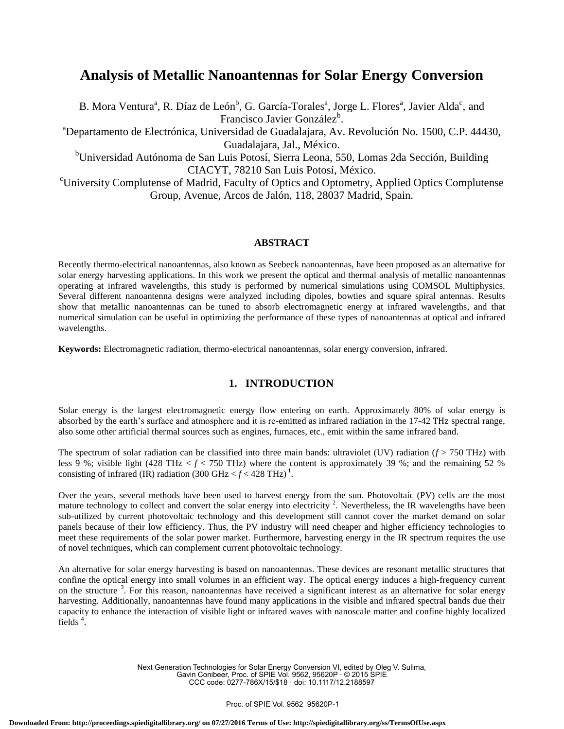# **Analysis of Metallic Nanoantennas for Solar Energy Conversion**

B. Mora Ventura<sup>a</sup>, R. Díaz de León<sup>b</sup>, G. García-Torales<sup>a</sup>, Jorge L. Flores<sup>a</sup>, Javier Alda<sup>c</sup>, and Francisco Javier González<sup>b</sup>.

<sup>a</sup>Departamento de Electrónica, Universidad de Guadalajara, Av. Revolución No. 1500, C.P. 44430, Guadalajara, Jal., México.

<sup>b</sup>Universidad Autónoma de San Luis Potosí, Sierra Leona, 550, Lomas 2da Sección, Building CIACYT, 78210 San Luis Potosí, México.

<sup>c</sup>University Complutense of Madrid, Faculty of Optics and Optometry, Applied Optics Complutense Group, Avenue, Arcos de Jalón, 118, 28037 Madrid, Spain.

## **ABSTRACT**

Recently thermo-electrical nanoantennas, also known as Seebeck nanoantennas, have been proposed as an alternative for solar energy harvesting applications. In this work we present the optical and thermal analysis of metallic nanoantennas operating at infrared wavelengths, this study is performed by numerical simulations using COMSOL Multiphysics. Several different nanoantenna designs were analyzed including dipoles, bowties and square spiral antennas. Results show that metallic nanoantennas can be tuned to absorb electromagnetic energy at infrared wavelengths, and that numerical simulation can be useful in optimizing the performance of these types of nanoantennas at optical and infrared wavelengths.

**Keywords:** Electromagnetic radiation, thermo-electrical nanoantennas, solar energy conversion, infrared.

## **1. INTRODUCTION**

Solar energy is the largest electromagnetic energy flow entering on earth. Approximately 80% of solar energy is absorbed by the earth's surface and atmosphere and it is re-emitted as infrared radiation in the 17-42 THz spectral range, also some other artificial thermal sources such as engines, furnaces, etc., emit within the same infrared band.

The spectrum of solar radiation can be classified into three main bands: ultraviolet (UV) radiation (*f* > 750 THz) with less 9 %; visible light (428 THz < *f* < 750 THz) where the content is approximately 39 %; and the remaining 52 % consisting of infrared (IR) radiation (300 GHz  $\langle f \rangle$  428 THz)<sup>1</sup>.

Over the years, several methods have been used to harvest energy from the sun. Photovoltaic (PV) cells are the most mature technology to collect and convert the solar energy into electricity  $2$ . Nevertheless, the IR wavelengths have been sub-utilized by current photovoltaic technology and this development still cannot cover the market demand on solar panels because of their low efficiency. Thus, the PV industry will need cheaper and higher efficiency technologies to meet these requirements of the solar power market. Furthermore, harvesting energy in the IR spectrum requires the use of novel techniques, which can complement current photovoltaic technology.

An alternative for solar energy harvesting is based on nanoantennas. These devices are resonant metallic structures that confine the optical energy into small volumes in an efficient way. The optical energy induces a high-frequency current on the structure<sup>3</sup>. For this reason, nanoantennas have received a significant interest as an alternative for solar energy harvesting. Additionally, nanoantennas have found many applications in the visible and infrared spectral bands due their capacity to enhance the interaction of visible light or infrared waves with nanoscale matter and confine highly localized fields<sup>4</sup>.

> Next Generation Technologies for Solar Energy Conversion VI, edited by Oleg V. Sulima, Gavin Conibeer, Proc. of SPIE Vol. 9562, 95620P · © 2015 SPIE CCC code: 0277-786X/15/\$18 · doi: 10.1117/12.2188597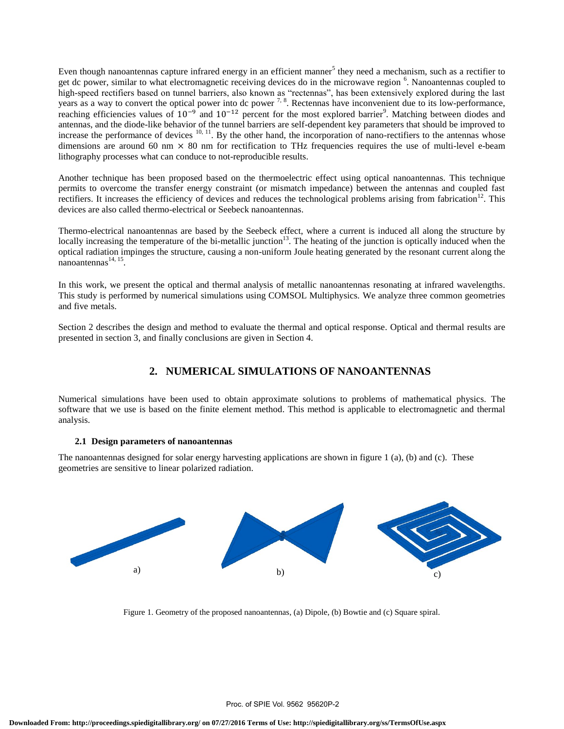Even though nanoantennas capture infrared energy in an efficient manner<sup>5</sup> they need a mechanism, such as a rectifier to get dc power, similar to what electromagnetic receiving devices do in the microwave region <sup>6</sup>. Nanoantennas coupled to high-speed rectifiers based on tunnel barriers, also known as "rectennas", has been extensively explored during the last years as a way to convert the optical power into dc power  $^{7, 8}$ . Rectennas have inconvenient due to its low-performance, reaching efficiencies values of  $10^{-9}$  and  $10^{-12}$  percent for the most explored barrier<sup>9</sup>. Matching between diodes and antennas, and the diode-like behavior of the tunnel barriers are self-dependent key parameters that should be improved to increase the performance of devices  $^{10, 11}$ . By the other hand, the incorporation of nano-rectifiers to the antennas whose dimensions are around 60 nm  $\times$  80 nm for rectification to THz frequencies requires the use of multi-level e-beam lithography processes what can conduce to not-reproducible results.

Another technique has been proposed based on the thermoelectric effect using optical nanoantennas. This technique permits to overcome the transfer energy constraint (or mismatch impedance) between the antennas and coupled fast rectifiers. It increases the efficiency of devices and reduces the technological problems arising from fabrication<sup>12</sup>. This devices are also called thermo-electrical or Seebeck nanoantennas.

Thermo-electrical nanoantennas are based by the Seebeck effect, where a current is induced all along the structure by locally increasing the temperature of the bi-metallic junction<sup>13</sup>. The heating of the junction is optically induced when the optical radiation impinges the structure, causing a non-uniform Joule heating generated by the resonant current along the  $n$ anoantennas<sup>14, 15</sup>.

In this work, we present the optical and thermal analysis of metallic nanoantennas resonating at infrared wavelengths. This study is performed by numerical simulations using COMSOL Multiphysics. We analyze three common geometries and five metals.

Section 2 describes the design and method to evaluate the thermal and optical response. Optical and thermal results are presented in section 3, and finally conclusions are given in Section 4.

## **2. NUMERICAL SIMULATIONS OF NANOANTENNAS**

Numerical simulations have been used to obtain approximate solutions to problems of mathematical physics. The software that we use is based on the finite element method. This method is applicable to electromagnetic and thermal analysis.

## **2.1 Design parameters of nanoantennas**

The nanoantennas designed for solar energy harvesting applications are shown in figure 1 (a), (b) and (c). These geometries are sensitive to linear polarized radiation.



Figure 1. Geometry of the proposed nanoantennas, (a) Dipole, (b) Bowtie and (c) Square spiral.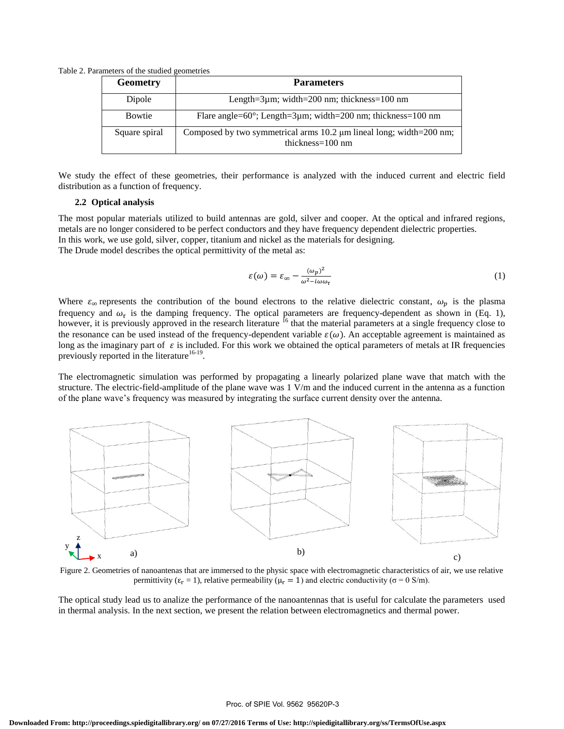Table 2. Parameters of the studied geometries

| <b>Geometry</b> | <b>Parameters</b>                                                                                  |
|-----------------|----------------------------------------------------------------------------------------------------|
| Dipole          | Length= $3\mu$ m; width= $200$ nm; thickness= $100$ nm                                             |
| <b>Bowtie</b>   | Flare angle= $60^{\circ}$ ; Length= $3\mu$ m; width= $200$ nm; thickness= $100$ nm                 |
| Square spiral   | Composed by two symmetrical arms 10.2 µm lineal long; width=200 nm;<br>thickness= $100 \text{ nm}$ |

We study the effect of these geometries, their performance is analyzed with the induced current and electric field distribution as a function of frequency.

## **2.2 Optical analysis**

The most popular materials utilized to build antennas are gold, silver and cooper. At the optical and infrared regions, metals are no longer considered to be perfect conductors and they have frequency dependent dielectric properties. In this work, we use gold, silver, copper, titanium and nickel as the materials for designing. The Drude model describes the optical permittivity of the metal as:

$$
\varepsilon(\omega) = \varepsilon_{\infty} - \frac{(\omega_p)^2}{\omega^2 - i\omega\omega_\tau} \tag{1}
$$

Where  $\varepsilon_{\infty}$  represents the contribution of the bound electrons to the relative dielectric constant,  $\omega_p$  is the plasma frequency and  $\omega_{\tau}$  is the damping frequency. The optical parameters are frequency-dependent as shown in (Eq. 1), however, it is previously approved in the research literature <sup>16</sup> that the material parameters at a single frequency close to the resonance can be used instead of the frequency-dependent variable  $\varepsilon(\omega)$ . An acceptable agreement is maintained as long as the imaginary part of  $\varepsilon$  is included. For this work we obtained the optical parameters of metals at IR frequencies previously reported in the literature<sup>16-19</sup>.

The electromagnetic simulation was performed by propagating a linearly polarized plane wave that match with the structure. The electric-field-amplitude of the plane wave was 1 V/m and the induced current in the antenna as a function of the plane wave's frequency was measured by integrating the surface current density over the antenna.



Figure 2. Geometries of nanoantenas that are immersed to the physic space with electromagnetic characteristics of air, we use relative permittivity ( $\varepsilon_r = 1$ ), relative permeability ( $\mu_r = 1$ ) and electric conductivity ( $\sigma = 0$  S/m).

The optical study lead us to analize the performance of the nanoantennas that is useful for calculate the parameters used in thermal analysis. In the next section, we present the relation between electromagnetics and thermal power.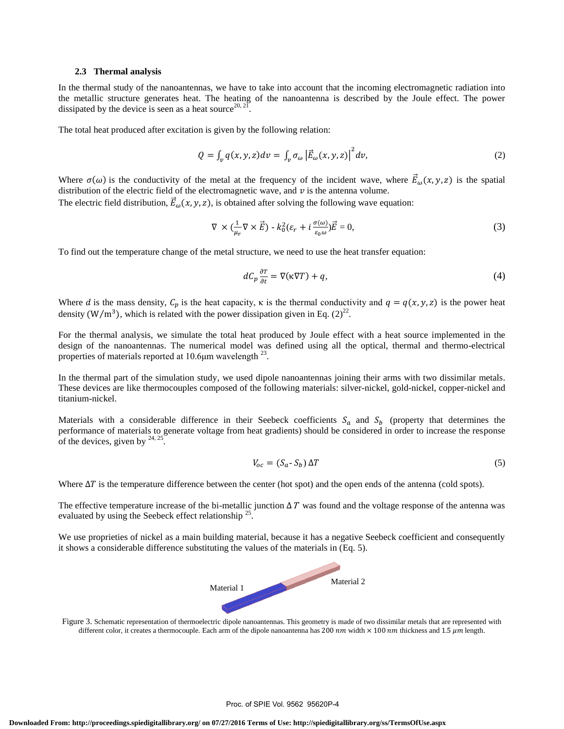#### **2.3 Thermal analysis**

In the thermal study of the nanoantennas, we have to take into account that the incoming electromagnetic radiation into the metallic structure generates heat. The heating of the nanoantenna is described by the Joule effect. The power dissipated by the device is seen as a heat source<sup>20, 21</sup> .

The total heat produced after excitation is given by the following relation:

$$
Q = \int_{\nu} q(x, y, z) dv = \int_{\nu} \sigma_{\omega} \left| \vec{E}_{\omega}(x, y, z) \right|^2 dv, \tag{2}
$$

Where  $\sigma(\omega)$  is the conductivity of the metal at the frequency of the incident wave, where  $\vec{E}_{\omega}(x, y, z)$  is the spatial distribution of the electric field of the electromagnetic wave, and  $v$  is the antenna volume.

The electric field distribution,  $\vec{E}_{\omega}(x, y, z)$ , is obtained after solving the following wave equation:

$$
\nabla \times (\frac{1}{\mu_r} \nabla \times \vec{E}) - k_0^2 (\varepsilon_r + i \frac{\sigma(\omega)}{\varepsilon_0 \omega}) \vec{E} = 0,
$$
\n(3)

To find out the temperature change of the metal structure, we need to use the heat transfer equation:

$$
dC_p \frac{\partial T}{\partial t} = \nabla(\kappa \nabla T) + q,\tag{4}
$$

Where d is the mass density,  $C_n$  is the heat capacity,  $\kappa$  is the thermal conductivity and  $q = q(x, y, z)$  is the power heat density (W/m<sup>3</sup>), which is related with the power dissipation given in Eq.  $(2)^{22}$ .

For the thermal analysis, we simulate the total heat produced by Joule effect with a heat source implemented in the design of the nanoantennas. The numerical model was defined using all the optical, thermal and thermo-electrical properties of materials reported at 10.6 $\mu$ m wavelength  $^{23}$ .

In the thermal part of the simulation study, we used dipole nanoantennas joining their arms with two dissimilar metals. These devices are like thermocouples composed of the following materials: silver-nickel, gold-nickel, copper-nickel and titanium-nickel.

Materials with a considerable difference in their Seebeck coefficients  $S_a$  and  $S_b$  (property that determines the performance of materials to generate voltage from heat gradients) should be considered in order to increase the response of the devices, given by  $24, 25$ .

$$
V_{oc} = (S_a - S_b) \Delta T \tag{5}
$$

Where  $\Delta T$  is the temperature difference between the center (hot spot) and the open ends of the antenna (cold spots).

The effective temperature increase of the bi-metallic junction  $\Delta T$  was found and the voltage response of the antenna was evaluated by using the Seebeck effect relationship  $25$ .

We use proprieties of nickel as a main building material, because it has a negative Seebeck coefficient and consequently it shows a considerable difference substituting the values of the materials in (Eq. 5).



Figure 3. Schematic representation of thermoelectric dipole nanoantennas. This geometry is made of two dissimilar metals that are represented with different color, it creates a thermocouple. Each arm of the dipole nanoantenna has 200 nm width  $\times$  100 nm thickness and 1.5  $\mu$ m length.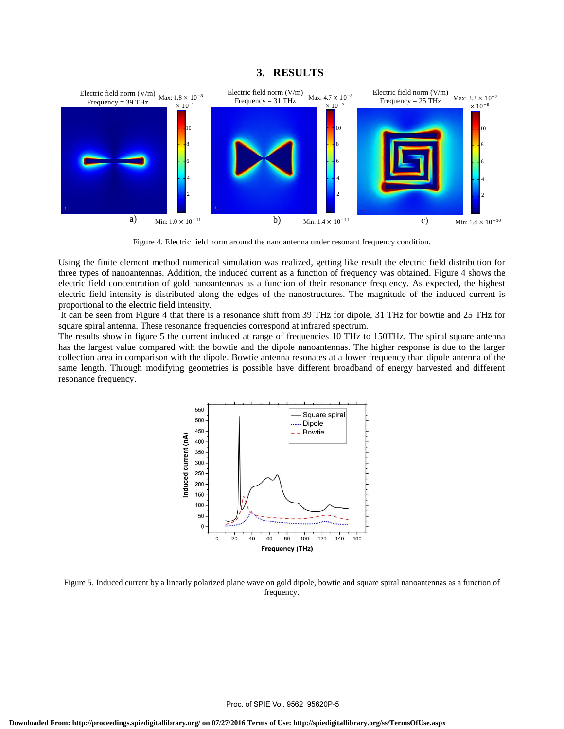## **3. RESULTS**



Figure 4. Electric field norm around the nanoantenna under resonant frequency condition.

Using the finite element method numerical simulation was realized, getting like result the electric field distribution for three types of nanoantennas. Addition, the induced current as a function of frequency was obtained. Figure 4 shows the electric field concentration of gold nanoantennas as a function of their resonance frequency. As expected, the highest electric field intensity is distributed along the edges of the nanostructures. The magnitude of the induced current is proportional to the electric field intensity.

It can be seen from Figure 4 that there is a resonance shift from 39 THz for dipole, 31 THz for bowtie and 25 THz for square spiral antenna. These resonance frequencies correspond at infrared spectrum.

The results show in figure 5 the current induced at range of frequencies 10 THz to 150THz. The spiral square antenna has the largest value compared with the bowtie and the dipole nanoantennas. The higher response is due to the larger collection area in comparison with the dipole. Bowtie antenna resonates at a lower frequency than dipole antenna of the same length. Through modifying geometries is possible have different broadband of energy harvested and different resonance frequency.



Figure 5. Induced current by a linearly polarized plane wave on gold dipole, bowtie and square spiral nanoantennas as a function of frequency.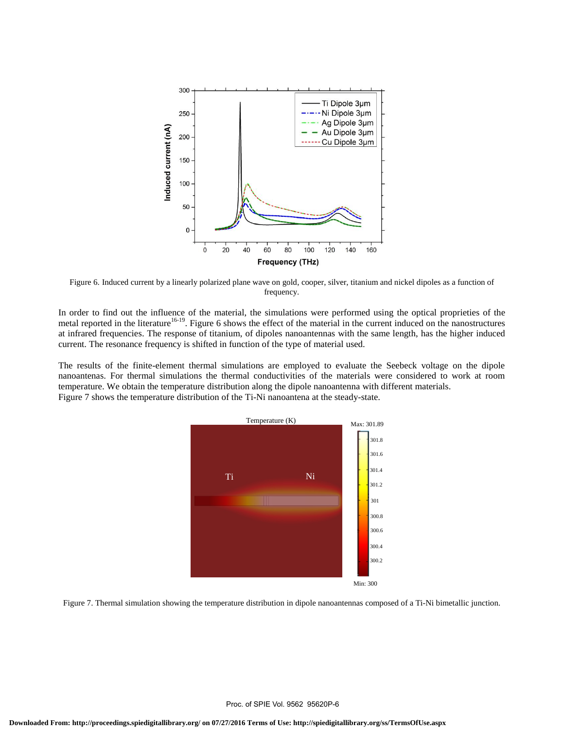

Figure 6. Induced current by a linearly polarized plane wave on gold, cooper, silver, titanium and nickel dipoles as a function of frequency.

In order to find out the influence of the material, the simulations were performed using the optical proprieties of the metal reported in the literature<sup>16-19</sup>. Figure 6 shows the effect of the material in the current induced on the nanostructures at infrared frequencies. The response of titanium, of dipoles nanoantennas with the same length, has the higher induced current. The resonance frequency is shifted in function of the type of material used.

The results of the finite-element thermal simulations are employed to evaluate the Seebeck voltage on the dipole nanoantenas. For thermal simulations the thermal conductivities of the materials were considered to work at room temperature. We obtain the temperature distribution along the dipole nanoantenna with different materials. Figure 7 shows the temperature distribution of the Ti-Ni nanoantena at the steady-state.



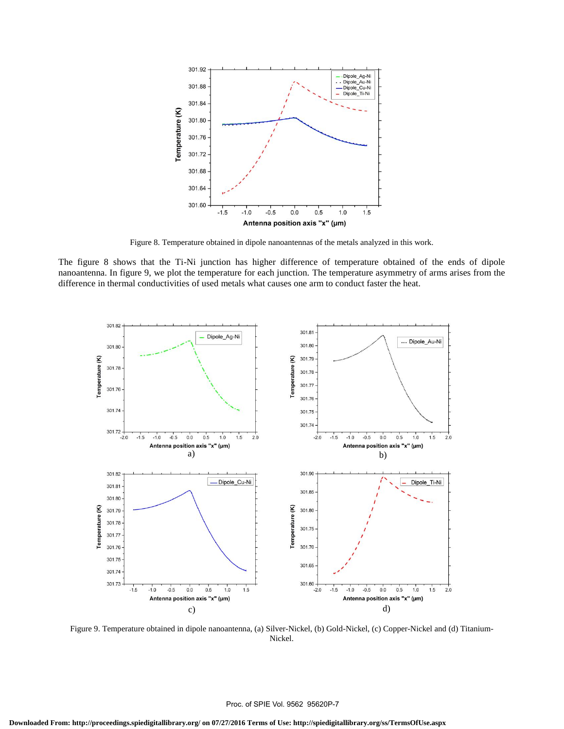

Figure 8. Temperature obtained in dipole nanoantennas of the metals analyzed in this work.

The figure 8 shows that the Ti-Ni junction has higher difference of temperature obtained of the ends of dipole nanoantenna. In figure 9, we plot the temperature for each junction. The temperature asymmetry of arms arises from the difference in thermal conductivities of used metals what causes one arm to conduct faster the heat.



Figure 9. Temperature obtained in dipole nanoantenna, (a) Silver-Nickel, (b) Gold-Nickel, (c) Copper-Nickel and (d) Titanium-Nickel.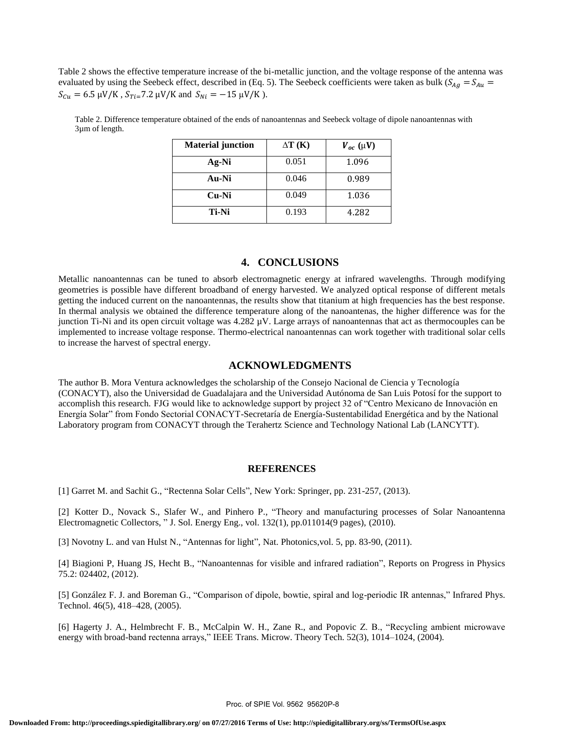Table 2 shows the effective temperature increase of the bi-metallic junction, and the voltage response of the antenna was evaluated by using the Seebeck effect, described in (Eq. 5). The Seebeck coefficients were taken as bulk ( $S_{Ag} = S_{Au}$  $S_{Cu} = 6.5 \mu V/K$ ,  $S_{Ti} = 7.2 \mu V/K$  and  $S_{Ni} = -15 \mu V/K$ ).

| <b>Material junction</b> | $\Delta T$ (K) | $V_{oc}(\mu V)$ |
|--------------------------|----------------|-----------------|
| Ag-Ni                    | 0.051          | 1.096           |
| Au-Ni                    | 0.046          | 0.989           |
| Cu-Ni                    | 0.049          | 1.036           |
| Ti-Ni                    | 0.193          | 4.282           |

Table 2. Difference temperature obtained of the ends of nanoantennas and Seebeck voltage of dipole nanoantennas with 3µm of length.

## **4. CONCLUSIONS**

Metallic nanoantennas can be tuned to absorb electromagnetic energy at infrared wavelengths. Through modifying geometries is possible have different broadband of energy harvested. We analyzed optical response of different metals getting the induced current on the nanoantennas, the results show that titanium at high frequencies has the best response. In thermal analysis we obtained the difference temperature along of the nanoantenas, the higher difference was for the junction Ti-Ni and its open circuit voltage was 4.282 µV. Large arrays of nanoantennas that act as thermocouples can be implemented to increase voltage response. Thermo-electrical nanoantennas can work together with traditional solar cells to increase the harvest of spectral energy.

## **ACKNOWLEDGMENTS**

The author B. Mora Ventura acknowledges the scholarship of the Consejo Nacional de Ciencia y Tecnología (CONACYT), also the Universidad de Guadalajara and the Universidad Autónoma de San Luis Potosí for the support to accomplish this research. FJG would like to acknowledge support by project 32 of "Centro Mexicano de Innovación en Energía Solar" from Fondo Sectorial CONACYT-Secretaría de Energía-Sustentabilidad Energética and by the National Laboratory program from CONACYT through the Terahertz Science and Technology National Lab (LANCYTT).

#### **REFERENCES**

[1] Garret M. and Sachit G., "Rectenna Solar Cells", New York: Springer, pp. 231-257, (2013).

[2] Kotter D., Novack S., Slafer W., and Pinhero P., "Theory and manufacturing processes of Solar Nanoantenna Electromagnetic Collectors, " J. Sol. Energy Eng., vol. 132(1), pp.011014(9 pages), (2010).

[3] Novotny L. and van Hulst N., "Antennas for light", Nat. Photonics,vol. 5, pp. 83-90, (2011).

[4] Biagioni P, Huang JS, Hecht B., "Nanoantennas for visible and infrared radiation", Reports on Progress in Physics 75.2: 024402, (2012).

[5] González F. J. and Boreman G., "Comparison of dipole, bowtie, spiral and log-periodic IR antennas," Infrared Phys. Technol. 46(5), 418–428, (2005).

[6] Hagerty J. A., Helmbrecht F. B., McCalpin W. H., Zane R., and Popovic Z. B., "Recycling ambient microwave energy with broad-band rectenna arrays," IEEE Trans. Microw. Theory Tech. 52(3), 1014–1024, (2004).